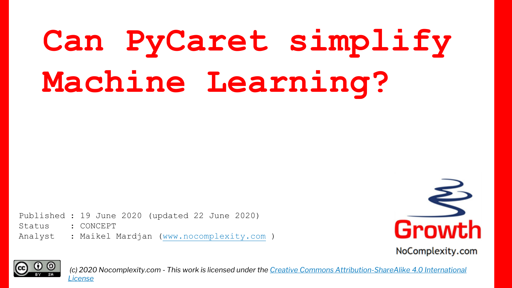# **Can PyCaret simplify Machine Learning?**

btatus . concerr<br>Analyst : Maikel Mardjan (<u>www.nocomplexity.com</u> ) Published : 19 June 2020 (updated 22 June 2020) Status : CONCEPT





*(c) 2020 Nocomplexity.com - This work is licensed under the [Creative Commons Attribution-ShareAlike 4.0 International](http://creativecommons.org/licenses/by-sa/4.0/) License*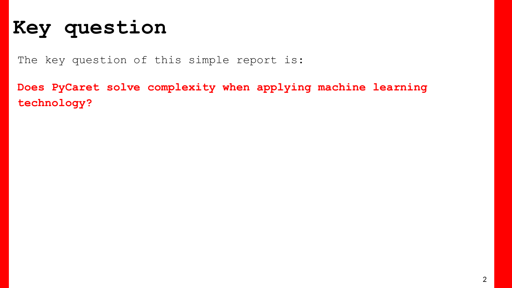#### **Key question**

The key question of this simple report is:

**Does PyCaret solve complexity when applying machine learning technology?**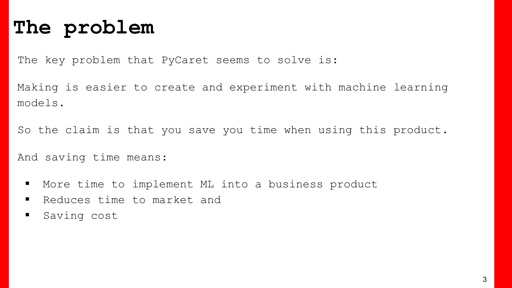#### **The problem**

The key problem that PyCaret seems to solve is:

Making is easier to create and experiment with machine learning models.

So the claim is that you save you time when using this product.

And saving time means:

- More time to implement ML into a business product
- Reduces time to market and
- **B** Saving cost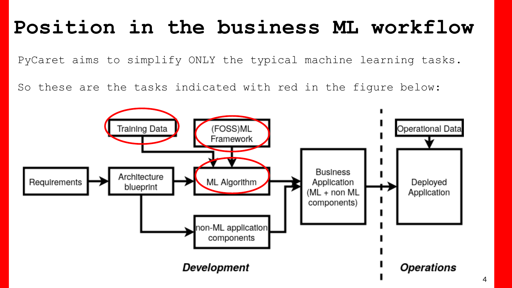#### **Position in the business ML workflow**

PyCaret aims to simplify ONLY the typical machine learning tasks.

So these are the tasks indicated with red in the figure below:

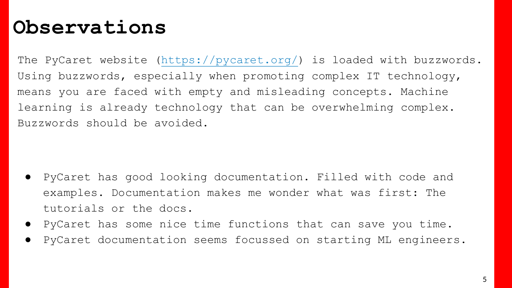#### **Observations**

The PyCaret website (<https://pycaret.org/>) is loaded with buzzwords. Using buzzwords, especially when promoting complex IT technology, means you are faced with empty and misleading concepts. Machine learning is already technology that can be overwhelming complex. Buzzwords should be avoided.

- PyCaret has good looking documentation. Filled with code and examples. Documentation makes me wonder what was first: The tutorials or the docs.
- PyCaret has some nice time functions that can save you time.
- PyCaret documentation seems focussed on starting ML engineers.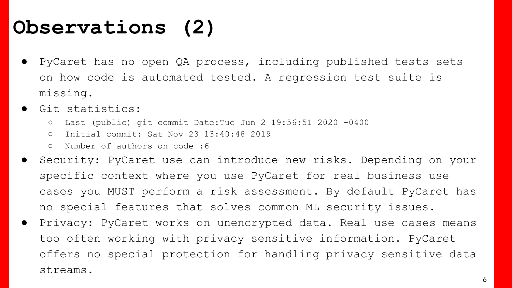### **Observations (2)**

- PyCaret has no open QA process, including published tests sets on how code is automated tested. A regression test suite is missing.
- Git statistics:
	- Last (public) git commit Date:Tue Jun 2 19:56:51 2020 -0400
	- Initial commit: Sat Nov 23 13:40:48 2019
	- Number of authors on code :6
- Security: PyCaret use can introduce new risks. Depending on your specific context where you use PyCaret for real business use cases you MUST perform a risk assessment. By default PyCaret has no special features that solves common ML security issues.
- Privacy: PyCaret works on unencrypted data. Real use cases means too often working with privacy sensitive information. PyCaret offers no special protection for handling privacy sensitive data streams.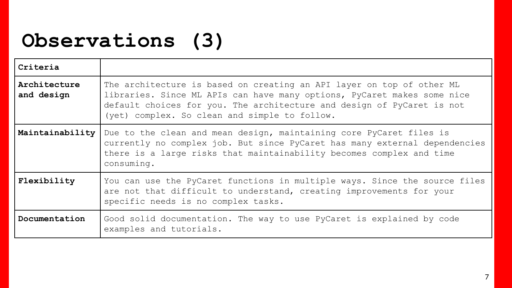### **Observations (3)**

| Criteria                   |                                                                                                                                                                                                                                                                             |
|----------------------------|-----------------------------------------------------------------------------------------------------------------------------------------------------------------------------------------------------------------------------------------------------------------------------|
| Architecture<br>and design | The architecture is based on creating an API layer on top of other ML<br>libraries. Since ML APIs can have many options, PyCaret makes some nice<br>default choices for you. The architecture and design of PyCaret is not<br>(yet) complex. So clean and simple to follow. |
| Maintainability            | Due to the clean and mean design, maintaining core PyCaret files is<br>currently no complex job. But since PyCaret has many external dependencies<br>there is a large risks that maintainability becomes complex and time<br>consuming.                                     |
| Flexibility                | You can use the PyCaret functions in multiple ways. Since the source files<br>are not that difficult to understand, creating improvements for your<br>specific needs is no complex tasks.                                                                                   |
| Documentation              | Good solid documentation. The way to use PyCaret is explained by code<br>examples and tutorials.                                                                                                                                                                            |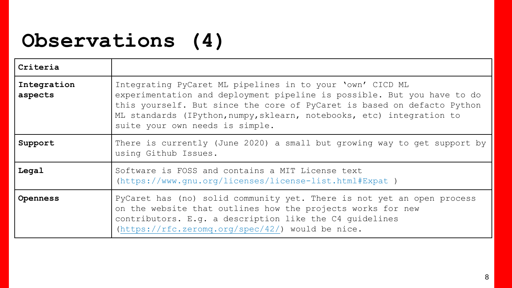### **Observations (4)**

| Criteria               |                                                                                                                                                                                                                                                                                                                             |
|------------------------|-----------------------------------------------------------------------------------------------------------------------------------------------------------------------------------------------------------------------------------------------------------------------------------------------------------------------------|
| Integration<br>aspects | Integrating PyCaret ML pipelines in to your 'own' CICD ML<br>experimentation and deployment pipeline is possible. But you have to do<br>this yourself. But since the core of PyCaret is based on defacto Python<br>ML standards (IPython, numpy, sklearn, notebooks, etc) integration to<br>suite your own needs is simple. |
| Support                | There is currently (June 2020) a small but growing way to get support by<br>using Github Issues.                                                                                                                                                                                                                            |
| Legal                  | Software is FOSS and contains a MIT License text<br>$(https://www.qnu.org/licenses/license-list.html#Expat)$                                                                                                                                                                                                                |
| Openness               | PyCaret has (no) solid community yet. There is not yet an open process<br>on the website that outlines how the projects works for new<br>contributors. E.g. a description like the C4 quidelines<br>$(\text{https://rfc.zeromq.org/spec}/42/)$ would be nice.                                                               |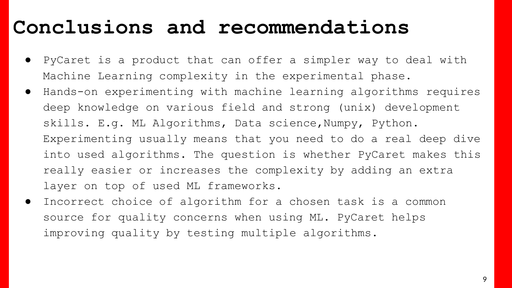#### **Conclusions and recommendations**

- PyCaret is a product that can offer a simpler way to deal with Machine Learning complexity in the experimental phase.
- Hands-on experimenting with machine learning algorithms requires deep knowledge on various field and strong (unix) development skills. E.g. ML Algorithms, Data science,Numpy, Python. Experimenting usually means that you need to do a real deep dive into used algorithms. The question is whether PyCaret makes this really easier or increases the complexity by adding an extra layer on top of used ML frameworks.
- Incorrect choice of algorithm for a chosen task is a common source for quality concerns when using ML. PyCaret helps improving quality by testing multiple algorithms.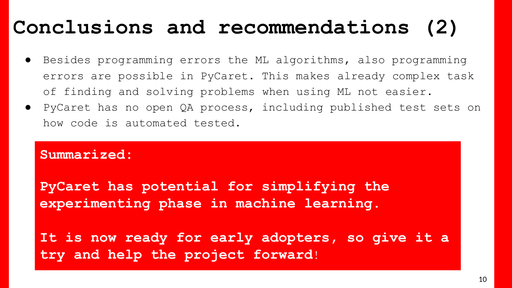#### **Conclusions and recommendations (2)**

- Besides programming errors the ML algorithms, also programming errors are possible in PyCaret. This makes already complex task of finding and solving problems when using ML not easier.
- PyCaret has no open QA process, including published test sets on how code is automated tested.

#### **Summarized:**

**PyCaret has potential for simplifying the experimenting phase in machine learning.**

**It is now ready for early adopters, so give it a try and help the project forward**!